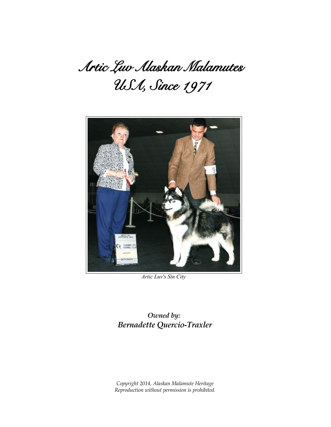# Artic Luv Alaskan Malamutes USA, Since 1971



*Artic Luv's Sin City*

*Owned by: Bernadette Quercio-Traxler*

*Copyright 2014, Alaskan Malamute Heritage Reproduction without permission is prohibited.*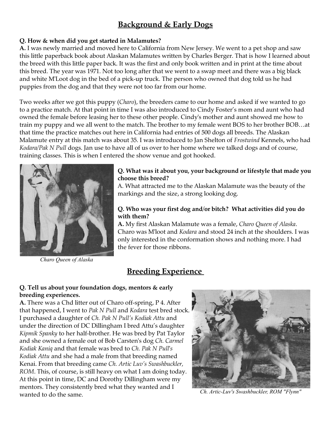## **Background & Early Dogs**

## **Q. How & when did you get started in Malamutes?**

**A.** I was newly married and moved here to California from New Jersey. We went to a pet shop and saw this little paperback book about Alaskan Malamutes written by Charles Berger. That is how I learned about the breed with this little paper back. It was the first and only book written and in print at the time about this breed. The year was 1971. Not too long after that we went to a swap meet and there was a big black and white M'Loot dog in the bed of a pick-up truck. The person who owned that dog told us he had puppies from the dog and that they were not too far from our home.

Two weeks after we got this puppy (*Charo*), the breeders came to our home and asked if we wanted to go to a practice match. At that point in time I was also introduced to Cindy Foster's mom and aunt who had owned the female before leasing her to these other people. Cindy's mother and aunt showed me how to train my puppy and we all went to the match. The brother to my female went BOS to her brother BOB…at that time the practice matches out here in California had entries of 500 dogs all breeds. The Alaskan Malamute entry at this match was about 35. I was introduced to Jan Shelton of *Frostwind* Kennels, who had *Kodara/Pak N Pull* dogs. Jan use to have all of us over to her home where we talked dogs and of course, training classes. This is when I entered the show venue and got hooked.



*Charo Queen of Alaska*

## **Q. What was it about you, your background or lifestyle that made you choose this breed?**

A. What attracted me to the Alaskan Malamute was the beauty of the markings and the size, a strong looking dog.

## **Q. Who was your first dog and/or bitch? What activities did you do with them?**

**A.** My first Alaskan Malamute was a female, *Charo Queen of Alaska*. Charo was M'loot and *Kodara* and stood 24 inch at the shoulders. I was only interested in the conformation shows and nothing more. I had the fever for those ribbons.

## **Breeding Experience**

## **Q. Tell us about your foundation dogs, mentors & early breeding experiences.**

**A.** There was a Chd litter out of Charo off-spring, P 4. After that happened, I went to *Pak N Pull* and *Kodara* test bred stock. I purchased a daughter of *Ch. Pak N Pull's Kodiak Attu* and under the direction of DC Dillingham I bred Attu's daughter *Kipmik Spanky* to her half-brother. He was bred by Pat Taylor and she owned a female out of Bob Carsten's dog *Ch. Carmel Kodiak Kaniq* and that female was bred to *Ch. Pak N Pull's Kodiak Attu* and she had a male from that breeding named Kenai. From that breeding came *Ch. Artic Luv's Swashbuckler, ROM*. This, of course, is still heavy on what I am doing today. At this point in time, DC and Dorothy Dillingham were my mentors. They consistently bred what they wanted and I wanted to do the same. *Ch. Artic-Luv's Swashbuckler, ROM "Flynn"*

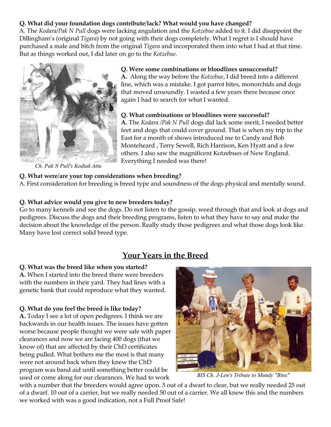## **Q. What did your foundation dogs contribute/lack? What would you have changed?**

A. The *Kodara/Pak N Pull* dogs were lacking angulation and the *Kotzebue* added to it. I did disappoint the Dillingham's (original *Tigara*) by not going with their dogs completely. What I regret is I should have purchased a male and bitch from the original *Tigara* and incorporated them into what I had at that time. But as things worked out, I did later on go to the *Kotzebue.*



*Ch. Pak N Pull's Kodiak Attu*

#### **Q. Were some combinations or bloodlines unsuccessful?**

**A.** Along the way before the *Kotzebue*, I did breed into a different line, which was a mistake. I got parrot bites, monorchids and dogs that moved unsoundly. I wasted a few years there because once again I had to search for what I wanted.

#### **Q. What combinations or bloodlines were successful?**

**A.** The *Kodara /Pak N Pull* dogs did lack some merit, I needed better feet and dogs that could cover ground. That is when my trip to the East for a month of shows introduced me to Candy and Bob Monteheard , Terry Sewell, Rich Harrison, Ken Hyatt and a few others. I also saw the magnificent Kotzebues of New England. Everything I needed was there!

## **Q. What were/are your top considerations when breeding?**

A. First consideration for breeding is breed type and soundness of the dogs physical and mentally sound.

## **Q. What advice would you give to new breeders today?**

Go to many kennels and see the dogs. Do not listen to the gossip, weed through that and look at dogs and pedigrees. Discuss the dogs and their breeding programs, listen to what they have to say and make the decision about the knowledge of the person. Really study those pedigrees and what those dogs look like. Many have lost correct solid breed type.

## **Your Years in the Breed**

#### **Q. What was the breed like when you started?**

**A.** When I started into the breed there were breeders with the numbers in their yard. They had lines with a genetic bank that could reproduce what they wanted.

#### **Q. What do you feel the breed is like today?**

**A.** Today I see a lot of open pedigrees. I think we are backwards in our health issues. The issues have gotten worse because people thought we were safe with paper clearances and now we are facing 400 dogs (that we know of) that are affected by their ChD certificates being pulled. What bothers me the most is that many were not around back when they knew the ChD program was band aid until something better could be used or come along for our clearances. We had to work



*BIS Ch. J-Len's Tribute to Mundy "Binx"*

with a number that the breeders would agree upon. 5 out of a dwarf to clear, but we really needed 25 out of a dwarf. 10 out of a carrier, but we really needed 50 out of a carrier. We all knew this and the numbers we worked with was a good indication, not a Full Proof Safe!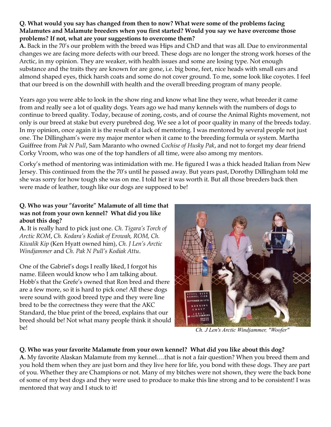## **Q. What would you say has changed from then to now? What were some of the problems facing Malamutes and Malamute breeders when you first started? Would you say we have overcome those problems? If not, what are your suggestions to overcome them?**

**A.** Back in the 70's our problem with the breed was Hips and ChD and that was all. Due to environmental changes we are facing more defects with our breed. These dogs are no longer the strong work horses of the Arctic, in my opinion. They are weaker, with health issues and some are losing type. Not enough substance and the traits they are known for are gone, i.e. big bone, feet, nice heads with small ears and almond shaped eyes, thick harsh coats and some do not cover ground. To me, some look like coyotes. I feel that our breed is on the downhill with health and the overall breeding program of many people.

Years ago you were able to look in the show ring and know what line they were, what breeder it came from and really see a lot of quality dogs. Years ago we had many kennels with the numbers of dogs to continue to breed quality. Today, because of zoning, costs, and of course the Animal Rights movement, not only is our breed at stake but every purebred dog. We see a lot of poor quality in many of the breeds today. In my opinion, once again it is the result of a lack of mentoring. I was mentored by several people not just one. The Dillingham's were my major mentor when it came to the breeding formula or system. Martha Guiffree from *Pak N Pull*, Sam Maranto who owned *Cochise of Husky Pak*, and not to forget my dear friend Corky Vroom, who was one of the top handlers of all time, were also among my mentors.

Corky's method of mentoring was intimidation with me. He figured I was a thick headed Italian from New Jersey. This continued from the the 70's until he passed away. But years past, Dorothy Dillingham told me she was sorry for how tough she was on me. I told her it was worth it. But all those breeders back then were made of leather, tough like our dogs are supposed to be!

## **Q. Who was your "favorite" Malamute of all time that was not from your own kennel? What did you like about this dog?**

**A.** It is really hard to pick just one. *Ch. Tigara's Torch of Arctic ROM*, *Ch. Kodara's Kodiak of Erowah, ROM, Ch. Kiwalik Kip* (Ken Hyatt owned him), *Ch. J Len's Arctic Windjammer* and *Ch. Pak N Pull's Kodiak Attu*.

One of the Gabriel's dogs I really liked, I forgot his name. Eileen would know who I am talking about. Hobb's that the Grefe's owned that Ron bred and there are a few more, so it is hard to pick one! All these dogs were sound with good breed type and they were line bred to be the correctness they were that the AKC Standard, the blue print of the breed, explains that our breed should be! Not what many people think it should be!



*Ch. J Len's Arctic Windjammer, "Woofer"*

## **Q. Who was your favorite Malamute from your own kennel? What did you like about this dog?**

**A.** My favorite Alaskan Malamute from my kennel….that is not a fair question? When you breed them and you hold them when they are just born and they live here for life, you bond with these dogs. They are part of you. Whether they are Champions or not. Many of my bitches were not shown, they were the back bone of some of my best dogs and they were used to produce to make this line strong and to be consistent! I was mentored that way and I stuck to it!